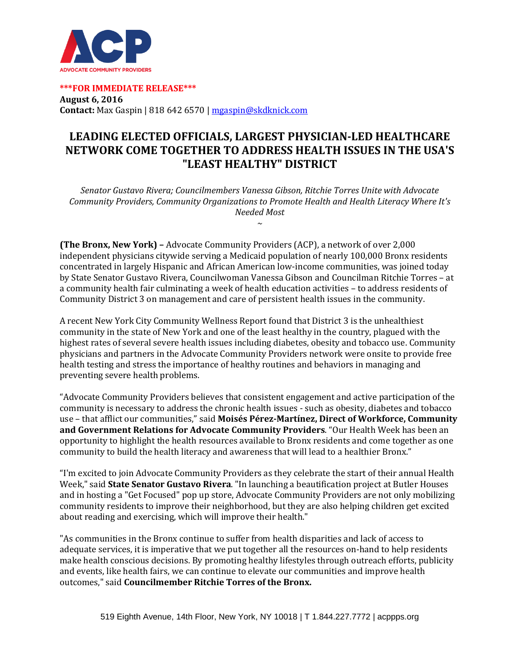

**\*\*\*FOR IMMEDIATE RELEASE\*\*\* August 6, 2016 Contact:** Max Gaspin | 818 642 6570 [| mgaspin@skdknick.com](mailto:mgaspin@skdknick.com)

## **LEADING ELECTED OFFICIALS, LARGEST PHYSICIAN-LED HEALTHCARE NETWORK COME TOGETHER TO ADDRESS HEALTH ISSUES IN THE USA'S "LEAST HEALTHY" DISTRICT**

*Senator Gustavo Rivera; Councilmembers Vanessa Gibson, Ritchie Torres Unite with Advocate Community Providers, Community Organizations to Promote Health and Health Literacy Where It's Needed Most* 

*~*

**(The Bronx, New York) –** Advocate Community Providers (ACP), a network of over 2,000 independent physicians citywide serving a Medicaid population of nearly 100,000 Bronx residents concentrated in largely Hispanic and African American low-income communities, was joined today by State Senator Gustavo Rivera, Councilwoman Vanessa Gibson and Councilman Ritchie Torres – at a community health fair culminating a week of health education activities – to address residents of Community District 3 on management and care of persistent health issues in the community.

A recent New York City Community Wellness Report found that District 3 is the unhealthiest community in the state of New York and one of the least healthy in the country, plagued with the highest rates of several severe health issues including diabetes, obesity and tobacco use. Community physicians and partners in the Advocate Community Providers network were onsite to provide free health testing and stress the importance of healthy routines and behaviors in managing and preventing severe health problems.

"Advocate Community Providers believes that consistent engagement and active participation of the community is necessary to address the chronic health issues - such as obesity, diabetes and tobacco use – that afflict our communities," said **Moisés Pérez-Martínez, Direct of Workforce, Community and Government Relations for Advocate Community Providers**. "Our Health Week has been an opportunity to highlight the health resources available to Bronx residents and come together as one community to build the health literacy and awareness that will lead to a healthier Bronx."

"I'm excited to join Advocate Community Providers as they celebrate the start of their annual Health Week," said **State Senator Gustavo Rivera**. "In launching a beautification project at Butler Houses and in hosting a "Get Focused" pop up store, Advocate Community Providers are not only mobilizing community residents to improve their neighborhood, but they are also helping children get excited about reading and exercising, which will improve their health."

"As communities in the Bronx continue to suffer from health disparities and lack of access to adequate services, it is imperative that we put together all the resources on-hand to help residents make health conscious decisions. By promoting healthy lifestyles through outreach efforts, publicity and events, like health fairs, we can continue to elevate our communities and improve health outcomes," said **Councilmember Ritchie Torres of the Bronx.**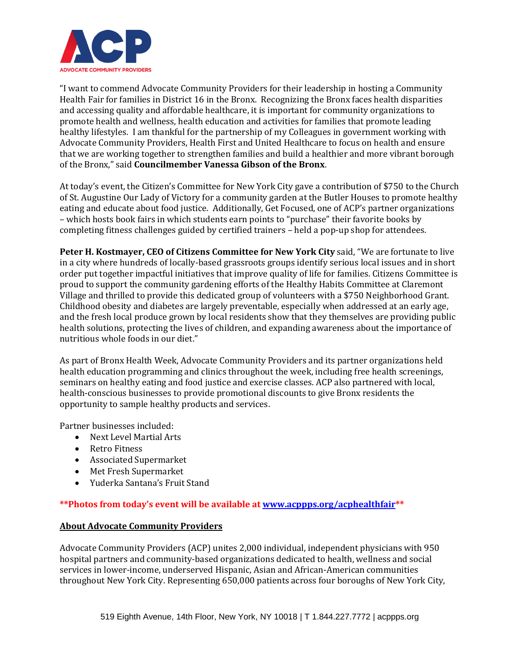

"I want to commend Advocate Community Providers for their leadership in hosting a Community Health Fair for families in District 16 in the Bronx. Recognizing the Bronx faces health disparities and accessing quality and affordable healthcare, it is important for community organizations to promote health and wellness, health education and activities for families that promote leading healthy lifestyles. I am thankful for the partnership of my Colleagues in government working with Advocate Community Providers, Health First and United Healthcare to focus on health and ensure that we are working together to strengthen families and build a healthier and more vibrant borough of the Bronx," said **Councilmember Vanessa Gibson of the Bronx**.

At today's event, the Citizen's Committee for New York City gave a contribution of \$750 to the Church of St. Augustine Our Lady of Victory for a community garden at the Butler Houses to promote healthy eating and educate about food justice. Additionally, Get Focused, one of ACP's partner organizations – which hosts book fairs in which students earn points to "purchase" their favorite books by completing fitness challenges guided by certified trainers – held a pop-up shop for attendees.

**Peter H. Kostmayer, CEO of Citizens Committee for New York City** said, "We are fortunate to live in a city where hundreds of locally-based grassroots groups identify serious local issues and in short order put together impactful initiatives that improve quality of life for families. Citizens Committee is proud to support the community gardening efforts of the Healthy Habits Committee at Claremont Village and thrilled to provide this dedicated group of volunteers with a \$750 Neighborhood Grant. Childhood obesity and diabetes are largely preventable, especially when addressed at an early age, and the fresh local produce grown by local residents show that they themselves are providing public health solutions, protecting the lives of children, and expanding awareness about the importance of nutritious whole foods in our diet."

As part of Bronx Health Week, Advocate Community Providers and its partner organizations held health education programming and clinics throughout the week, including free health screenings, seminars on healthy eating and food justice and exercise classes. ACP also partnered with local, health-conscious businesses to provide promotional discounts to give Bronx residents the opportunity to sample healthy products and services.

Partner businesses included:

- Next Level Martial Arts
- Retro Fitness
- Associated Supermarket
- Met Fresh Supermarket
- Yuderka Santana's Fruit Stand

**\*\*Photos from today's event will be available at [www.acppps.org/acphealthfair\\*](http://www.acppps.org/acphealthfair)\***

## **About Advocate Community Providers**

Advocate Community Providers (ACP) unites 2,000 individual, independent physicians with 950 hospital partners and community-based organizations dedicated to health, wellness and social services in lower-income, underserved Hispanic, Asian and African-American communities throughout New York City. Representing 650,000 patients across four boroughs of New York City,